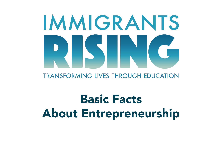# IMMIGRANTS

## **TRANSFORMING LIVES THROUGH EDUCATION**

# Basic Facts About Entrepreneurship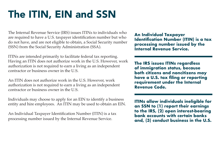# The ITIN, EIN and SSN

The Internal Revenue Service (IRS) issues ITINs to individuals who are required to have a U.S. taxpayer identification number but who do not have, and are not eligible to obtain, a Social Security number (SSN) from the Social Security Administration (SSA).

ITINs are intended primarily to facilitate federal tax reporting. Having an ITIN does not authorize work in the U.S. However, work authorization is not required to earn a living as an independent contractor or business owner in the U.S.

An ITIN does not authorize work in the U.S. However, work authorization is not required to earn a living as an independent contractor or business owner in the U.S.

Individuals may choose to apply for an EIN to identify a business entity and hire employees. An ITIN may be used to obtain an EIN.

An Individual Taxpayer Identification Number (ITIN) is a tax processing number issued by the Internal Revenue Service.

**An Individual Taxpayer Identification Number (ITIN) is a tax processing number issued by the Internal Revenue Service.**

**The IRS issues ITINs regardless of immigration status, because both citizens and noncitizens may have a U.S. tax filing or reporting requirement under the Internal Revenue Code.** 

**ITINs allow individuals ineligible for an SSN to (1) report their earnings to the IRS, (2) open interest-bearing bank accounts with certain banks and, (3) conduct business in the U.S.**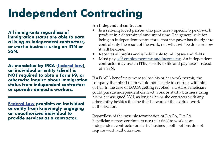# **Independent Contracting**

**All immigrants regardless of immigration status are able to earn a living as independent contractors, or start a business using an ITIN or SSN.** 

**As mandated by IRCA [\(federal law](https://www.gpo.gov/fdsys/pkg/STATUTE-100/pdf/STATUTE-100-Pg3445.pdf)), an individual or entity (client) is NOT required to obtain Form I-9, or otherwise inquire about immigration status from independent contractors or sporadic domestic workers.** 

**[Federal Law](https://www.gpo.gov/fdsys/pkg/USCODE-2011-title8/pdf/USCODE-2011-title8-chap12-subchapII-partVIII-sec1324a.pdf) prohibits an individual or entity from knowingly engaging an unauthorized individual to provide services as a contractor.**

### **An independent contractor:**

- Is a self-employed person who produces a specific type of work product in a determined amount of time. The general rule for being an independent contractor is that the payer has the right to control only the result of the work, not what will be done or how it will be done.
- Receives all profits and is held liable for all losses and debts.
- Must pay [self-employment tax and income tax.](https://www.irs.gov/businesses/small-businesses-self-employed/self-employed-individuals-tax-center) An independent contractor may use an ITIN, or EIN to file and pay taxes instead of a SSN.

If a DACA beneficiary were to lose his or her work permit, the company that hired them would not be able to contract with him or her. In the case of DACA getting revoked, a DACA beneficiary could pursue independent contract work or start a business using his or her assigned SSN, as long as he or she contracts with any other entity besides the one that is aware of the expired work authorization.

Regardless of the possible termination of DACA, DACA beneficiaries may continue to use their SSN to work as an independent contractor or start a business; both options do not require work authorization.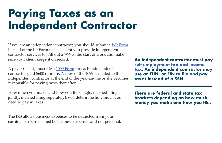# **Paying Taxes as an Independent Contractor**

If you are an independent contractor, you should submit a [W9 Form](https://www.irs.gov/pub/irs-pdf/fw9.pdf) instead of the I-9 Form to each client you provide independent contractor services to. Fill out a W-9 at the start of work and make sure your client keeps it on record.

A payer (client) must file a [1099 Form](https://www.irs.gov/pub/irs-pdf/f1099msc.pdf) for each independent contractor paid \$600 or more. A copy of the 1099 is mailed to the independent contractor at the end of the year and he or she becomes responsible for paying taxes thereafter.

How much you make, and how you file (single, married filing jointly, married filing separately), will determine how much you need to pay in taxes.

The IRS allows business expenses to be deducted from your earnings; expenses must be business expenses and not personal. **An independent contractor must pay [self-employment tax and income](https://www.irs.gov/businesses/small-businesses-self-employed/self-employed-individuals-tax-center)  [tax](https://www.irs.gov/businesses/small-businesses-self-employed/self-employed-individuals-tax-center). An independent contractor may use an ITIN, or EIN to file and pay taxes instead of a SSN.**

**There are federal and state tax brackets depending on how much money you make and how you file.**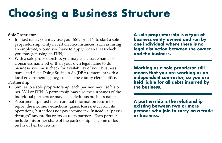# **Choosing a Business Structure**

### **Sole Proprietor**

- In most cases, you may use your SSN or ITIN to start a sole proprietorship. Only in certain circumstances, such as hiring an employee, would you have to apply for an **EIN** (which you may get using an ITIN).
- With a sole proprietorship, you may use a trade name or a business name other than your own legal name to do business; you must check for availability of your business name and file a Doing Business As (DBA) statement with a local government agency, such as the county clerk's office.

### **Partnership**

- Similar to a sole proprietorship, each partner may use his or her SSN or ITIN. A partnership may use the surnames of the individual partners or may use a fictitious business name.
- A partnership must file an annual information return to report the income, deductions, gains, losses, etc., from its operations, but it does not pay income tax. Instead, it "passes through" any profits or losses to its partners. Each partner includes his or her share of the partnership's income or loss on his or her tax return.

**A sole proprietorship is a type of business entity owned and run by one individual where there is no legal distinction between the owner and the business.**

**Working as a sole proprietor still means that you are working as an independent contractor, so you are held liable for all debts incurred by the business.**

**A partnership is the relationship existing between two or more persons who join to carry on a trade or business.**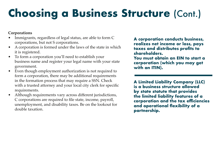# **Choosing a Business Structure (Cont.)**

### **Corporations**

- Immigrants, regardless of legal status, are able to form C corporations, but not S corporations.
- A corporation is formed under the laws of the state in which it is registered.
- To form a corporation you'll need to establish your business name and register your legal name with your state government.
- Even though employment authorization is not required to form a corporation, there may be additional requirements in the formation process that may require a SSN. Check with a trusted attorney and your local city clerk for specific requirements.
- Although requirements vary across different jurisdictions, C corporations are required to file state, income, payroll, unemployment, and disability taxes. Be on the lookout for double taxation.

**A corporation conducts business, realizes net income or loss, pays taxes and distributes profits to shareholders.** 

**You must obtain an EIN to start a corporation (which you may get with an ITIN).**

**A Limited Liability Company (LLC) is a business structure allowed by state statute that provides the limited liability features of a corporation and the tax efficiencies and operational flexibility of a partnership.**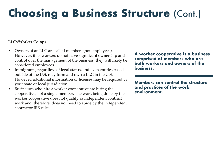# **Choosing a Business Structure (Cont.)**

### **LLCs/Worker Co-ops**

- Owners of an LLC are called members (not employees). However, if its workers do not have significant ownership and control over the management of the business, they will likely be considered employees.
- Immigrants, regardless of legal status, and even entities based outside of the U.S. may form and own a LLC in the U.S. However, additional information or licenses may be required by your state or local jurisdiction.
- Businesses who hire a worker cooperative are hiring the cooperative, not a single member. The work being done by the worker cooperative does not qualify as independent contract work and, therefore, does not need to abide by the independent contractor IRS rules.

**A worker cooperative is a business comprised of members who are both workers and owners of the business.**

**Members can control the structure and practices of the work environment.**